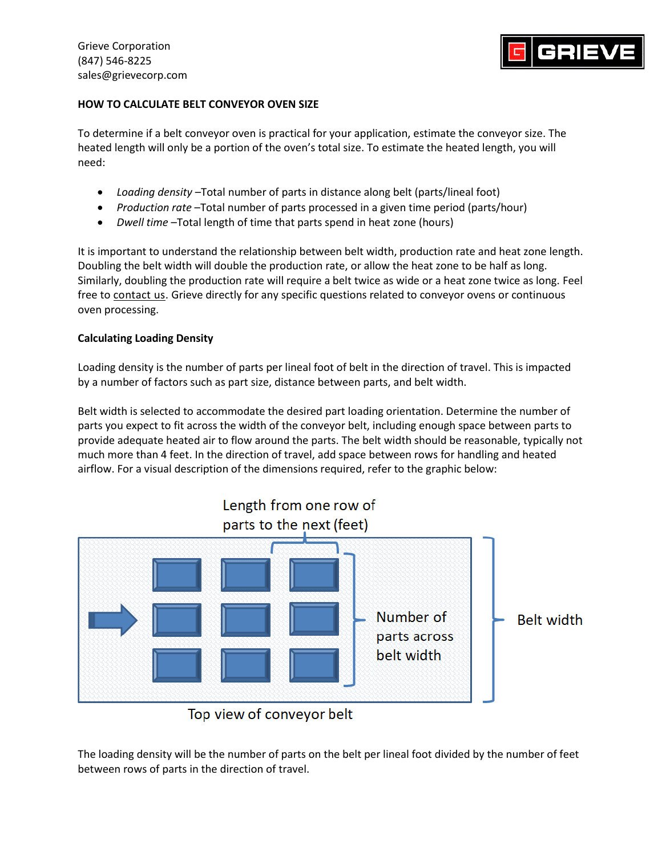Grieve Corporation (847) 546-8225 sales@grievecorp.com



## **HOW TO CALCULATE BELT CONVEYOR OVEN SIZE**

To determine if a belt conveyor oven is practical for your application, estimate the conveyor size. The heated length will only be a portion of the oven's total size. To estimate the heated length, you will need:

- *Loading density* –Total number of parts in distance along belt (parts/lineal foot)
- *Production rate* –Total number of parts processed in a given time period (parts/hour)
- *Dwell time* –Total length of time that parts spend in heat zone (hours)

It is important to understand the relationship between belt width, production rate and heat zone length. Doubling the belt width will double the production rate, or allow the heat zone to be half as long. Similarly, doubling the production rate will require a belt twice as wide or a heat zone twice as long. Feel free to [contact us.](https://omsgrieve.wpengine.com/contact/) Grieve directly for any specific questions related to conveyor ovens or continuous oven processing.

## **Calculating Loading Density**

Loading density is the number of parts per lineal foot of belt in the direction of travel. This is impacted by a number of factors such as part size, distance between parts, and belt width.

Belt width is selected to accommodate the desired part loading orientation. Determine the number of parts you expect to fit across the width of the conveyor belt, including enough space between parts to provide adequate heated air to flow around the parts. The belt width should be reasonable, typically not much more than 4 feet. In the direction of travel, add space between rows for handling and heated airflow. For a visual description of the dimensions required, refer to the graphic below:



Top view of conveyor belt

The loading density will be the number of parts on the belt per lineal foot divided by the number of feet between rows of parts in the direction of travel.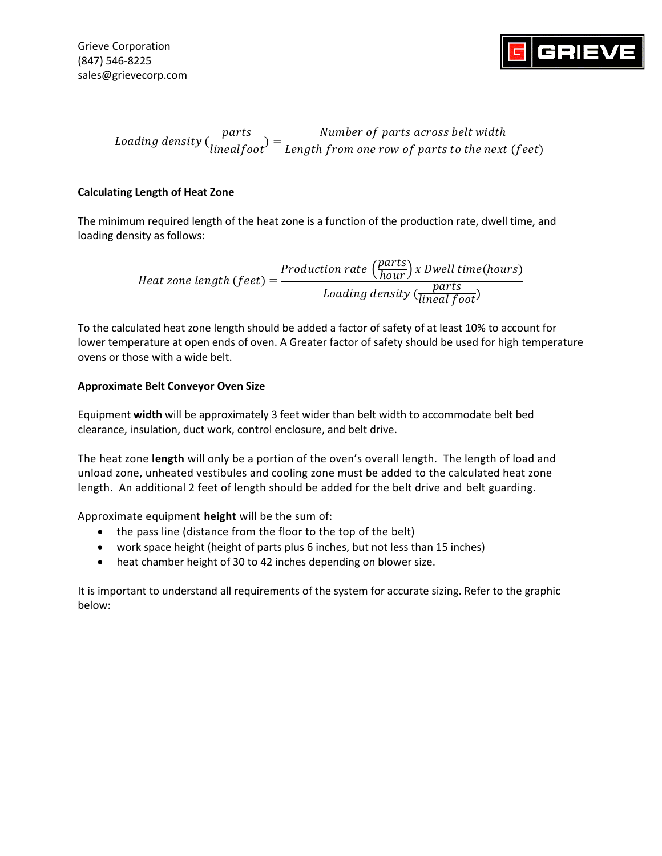

Loading density ( parts  $\frac{1}{\text{linear}$ ) = Number of parts across belt width Length from one row of parts to the next (feet)

## **Calculating Length of Heat Zone**

The minimum required length of the heat zone is a function of the production rate, dwell time, and loading density as follows:

> $Heat zone length (feet) =$ Production rate  $\left(\frac{parts}{hour}\right)$ x Dwell time(hours) Loading density  $\frac{parts}{linear foot}$

To the calculated heat zone length should be added a factor of safety of at least 10% to account for lower temperature at open ends of oven. A Greater factor of safety should be used for high temperature ovens or those with a wide belt.

## **Approximate Belt Conveyor Oven Size**

Equipment **width** will be approximately 3 feet wider than belt width to accommodate belt bed clearance, insulation, duct work, control enclosure, and belt drive.

The heat zone **length** will only be a portion of the oven's overall length. The length of load and unload zone, unheated vestibules and cooling zone must be added to the calculated heat zone length. An additional 2 feet of length should be added for the belt drive and belt guarding.

Approximate equipment **height** will be the sum of:

- the pass line (distance from the floor to the top of the belt)
- work space height (height of parts plus 6 inches, but not less than 15 inches)
- heat chamber height of 30 to 42 inches depending on blower size.

It is important to understand all requirements of the system for accurate sizing. Refer to the graphic below: